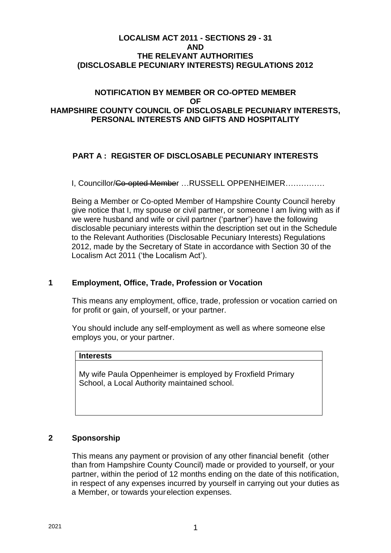#### **LOCALISM ACT 2011 - SECTIONS 29 - 31 AND THE RELEVANT AUTHORITIES (DISCLOSABLE PECUNIARY INTERESTS) REGULATIONS 2012**

#### **NOTIFICATION BY MEMBER OR CO-OPTED MEMBER OF HAMPSHIRE COUNTY COUNCIL OF DISCLOSABLE PECUNIARY INTERESTS, PERSONAL INTERESTS AND GIFTS AND HOSPITALITY**

## **PART A : REGISTER OF DISCLOSABLE PECUNIARY INTERESTS**

I, Councillor/Co-opted Member …RUSSELL OPPENHEIMER……………

Being a Member or Co-opted Member of Hampshire County Council hereby give notice that I, my spouse or civil partner, or someone I am living with as if we were husband and wife or civil partner ('partner') have the following disclosable pecuniary interests within the description set out in the Schedule to the Relevant Authorities (Disclosable Pecuniary Interests) Regulations 2012, made by the Secretary of State in accordance with Section 30 of the Localism Act 2011 ('the Localism Act').

#### **1 Employment, Office, Trade, Profession or Vocation**

This means any employment, office, trade, profession or vocation carried on for profit or gain, of yourself, or your partner.

You should include any self-employment as well as where someone else employs you, or your partner.

#### **Interests**

My wife Paula Oppenheimer is employed by Froxfield Primary School, a Local Authority maintained school.

#### **2 Sponsorship**

This means any payment or provision of any other financial benefit (other than from Hampshire County Council) made or provided to yourself, or your partner, within the period of 12 months ending on the date of this notification, in respect of any expenses incurred by yourself in carrying out your duties as a Member, or towards yourelection expenses.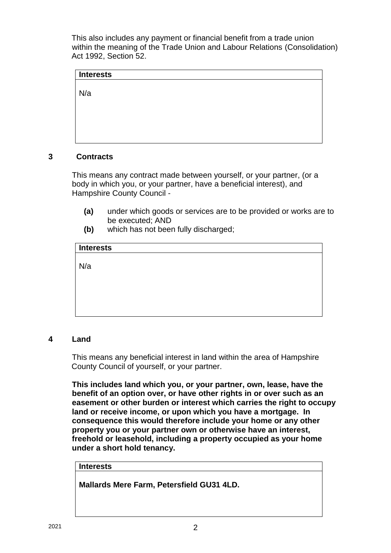This also includes any payment or financial benefit from a trade union within the meaning of the Trade Union and Labour Relations (Consolidation) Act 1992, Section 52.

# **Interests** N/a

## **3 Contracts**

This means any contract made between yourself, or your partner, (or a body in which you, or your partner, have a beneficial interest), and Hampshire County Council -

- **(a)** under which goods or services are to be provided or works are to be executed; AND
- **(b)** which has not been fully discharged;

| <b>Interests</b> |  |  |  |
|------------------|--|--|--|
|                  |  |  |  |
| N/a              |  |  |  |
|                  |  |  |  |
|                  |  |  |  |
|                  |  |  |  |
|                  |  |  |  |

## **4 Land**

This means any beneficial interest in land within the area of Hampshire County Council of yourself, or your partner.

**This includes land which you, or your partner, own, lease, have the benefit of an option over, or have other rights in or over such as an easement or other burden or interest which carries the right to occupy land or receive income, or upon which you have a mortgage. In consequence this would therefore include your home or any other property you or your partner own or otherwise have an interest, freehold or leasehold, including a property occupied as your home under a short hold tenancy.**

## **Interests**

**Mallards Mere Farm, Petersfield GU31 4LD.**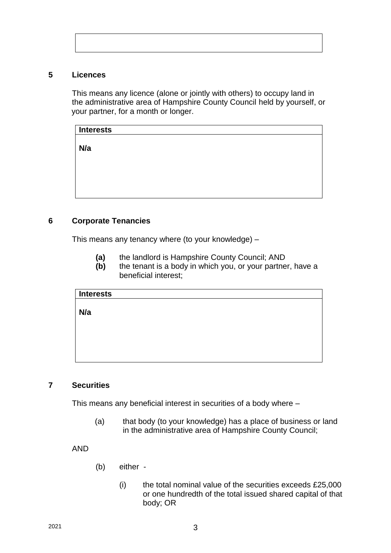#### **5 Licences**

This means any licence (alone or jointly with others) to occupy land in the administrative area of Hampshire County Council held by yourself, or your partner, for a month or longer.

| <b>Interests</b> |  |
|------------------|--|
|                  |  |
| N/a              |  |
|                  |  |
|                  |  |
|                  |  |
|                  |  |
|                  |  |

## **6 Corporate Tenancies**

This means any tenancy where (to your knowledge) –

- **(a)** the landlord is Hampshire County Council; AND
- **(b)** the tenant is a body in which you, or your partner, have a beneficial interest;

| Interests |  |
|-----------|--|
|           |  |
|           |  |
| N/a       |  |
|           |  |
|           |  |
|           |  |
|           |  |
|           |  |
|           |  |
|           |  |
|           |  |
|           |  |

## **7 Securities**

This means any beneficial interest in securities of a body where –

(a) that body (to your knowledge) has a place of business or land in the administrative area of Hampshire County Council;

AND

- (b) either
	- $(i)$  the total nominal value of the securities exceeds  $£25,000$ or one hundredth of the total issued shared capital of that body; OR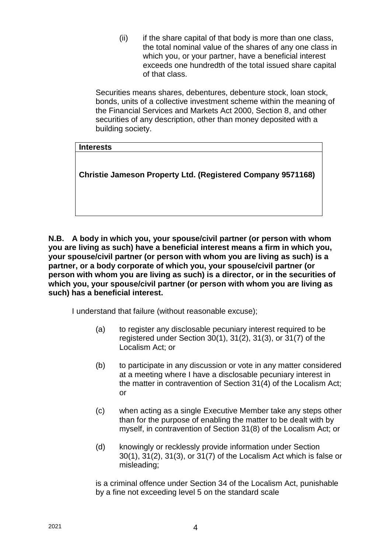$(ii)$  if the share capital of that body is more than one class, the total nominal value of the shares of any one class in which you, or your partner, have a beneficial interest exceeds one hundredth of the total issued share capital of that class.

Securities means shares, debentures, debenture stock, loan stock, bonds, units of a collective investment scheme within the meaning of the Financial Services and Markets Act 2000, Section 8, and other securities of any description, other than money deposited with a building society.

## **Interests**

**Christie Jameson Property Ltd. (Registered Company 9571168)**

**N.B. A body in which you, your spouse/civil partner (or person with whom you are living as such) have a beneficial interest means a firm in which you, your spouse/civil partner (or person with whom you are living as such) is a partner, or a body corporate of which you, your spouse/civil partner (or person with whom you are living as such) is a director, or in the securities of which you, your spouse/civil partner (or person with whom you are living as such) has a beneficial interest.**

I understand that failure (without reasonable excuse);

- (a) to register any disclosable pecuniary interest required to be registered under Section 30(1), 31(2), 31(3), or 31(7) of the Localism Act; or
- (b) to participate in any discussion or vote in any matter considered at a meeting where I have a disclosable pecuniary interest in the matter in contravention of Section 31(4) of the Localism Act; or
- (c) when acting as a single Executive Member take any steps other than for the purpose of enabling the matter to be dealt with by myself, in contravention of Section 31(8) of the Localism Act; or
- (d) knowingly or recklessly provide information under Section 30(1), 31(2), 31(3), or 31(7) of the Localism Act which is false or misleading;

is a criminal offence under Section 34 of the Localism Act, punishable by a fine not exceeding level 5 on the standard scale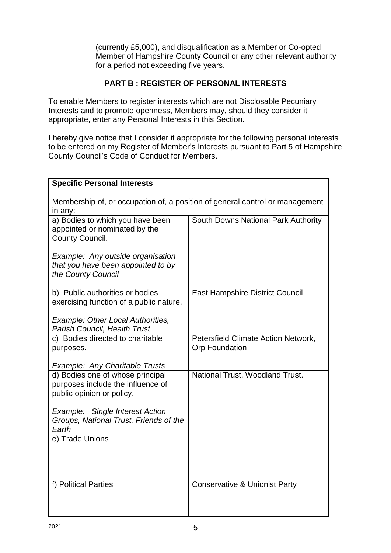(currently £5,000), and disqualification as a Member or Co-opted Member of Hampshire County Council or any other relevant authority for a period not exceeding five years.

## **PART B : REGISTER OF PERSONAL INTERESTS**

To enable Members to register interests which are not Disclosable Pecuniary Interests and to promote openness, Members may, should they consider it appropriate, enter any Personal Interests in this Section.

I hereby give notice that I consider it appropriate for the following personal interests to be entered on my Register of Member's Interests pursuant to Part 5 of Hampshire County Council's Code of Conduct for Members.

| <b>Specific Personal Interests</b>                                                                 |                                                              |  |  |  |
|----------------------------------------------------------------------------------------------------|--------------------------------------------------------------|--|--|--|
| Membership of, or occupation of, a position of general control or management<br>in any:            |                                                              |  |  |  |
| a) Bodies to which you have been<br>appointed or nominated by the<br>County Council.               | South Downs National Park Authority                          |  |  |  |
| Example: Any outside organisation<br>that you have been appointed to by<br>the County Council      |                                                              |  |  |  |
| b) Public authorities or bodies<br>exercising function of a public nature.                         | <b>East Hampshire District Council</b>                       |  |  |  |
| Example: Other Local Authorities,<br>Parish Council, Health Trust                                  |                                                              |  |  |  |
| c) Bodies directed to charitable<br>purposes.                                                      | Petersfield Climate Action Network,<br><b>Orp Foundation</b> |  |  |  |
| <b>Example: Any Charitable Trusts</b>                                                              |                                                              |  |  |  |
| d) Bodies one of whose principal<br>purposes include the influence of<br>public opinion or policy. | National Trust, Woodland Trust.                              |  |  |  |
| Example: Single Interest Action<br>Groups, National Trust, Friends of the<br>Earth                 |                                                              |  |  |  |
| e) Trade Unions                                                                                    |                                                              |  |  |  |
| f) Political Parties                                                                               | <b>Conservative &amp; Unionist Party</b>                     |  |  |  |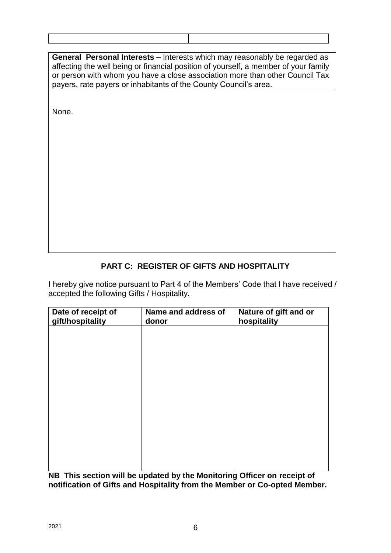| <b>General Personal Interests - Interests which may reasonably be regarded as</b><br>affecting the well being or financial position of yourself, a member of your family<br>or person with whom you have a close association more than other Council Tax<br>payers, rate payers or inhabitants of the County Council's area. |  |  |
|------------------------------------------------------------------------------------------------------------------------------------------------------------------------------------------------------------------------------------------------------------------------------------------------------------------------------|--|--|
|                                                                                                                                                                                                                                                                                                                              |  |  |
| None.                                                                                                                                                                                                                                                                                                                        |  |  |
|                                                                                                                                                                                                                                                                                                                              |  |  |
|                                                                                                                                                                                                                                                                                                                              |  |  |
|                                                                                                                                                                                                                                                                                                                              |  |  |
|                                                                                                                                                                                                                                                                                                                              |  |  |
|                                                                                                                                                                                                                                                                                                                              |  |  |
|                                                                                                                                                                                                                                                                                                                              |  |  |
|                                                                                                                                                                                                                                                                                                                              |  |  |
|                                                                                                                                                                                                                                                                                                                              |  |  |
|                                                                                                                                                                                                                                                                                                                              |  |  |
|                                                                                                                                                                                                                                                                                                                              |  |  |
|                                                                                                                                                                                                                                                                                                                              |  |  |

# **PART C: REGISTER OF GIFTS AND HOSPITALITY**

I hereby give notice pursuant to Part 4 of the Members' Code that I have received / accepted the following Gifts / Hospitality.

| Date of receipt of<br>gift/hospitality | Name and address of<br>donor | Nature of gift and or<br>hospitality |
|----------------------------------------|------------------------------|--------------------------------------|
|                                        |                              |                                      |
|                                        |                              |                                      |
|                                        |                              |                                      |
|                                        |                              |                                      |
|                                        |                              |                                      |
|                                        |                              |                                      |
|                                        |                              |                                      |
|                                        |                              |                                      |
|                                        |                              |                                      |

**NB This section will be updated by the Monitoring Officer on receipt of notification of Gifts and Hospitality from the Member or Co-opted Member.**

 $\mathbf{I}$